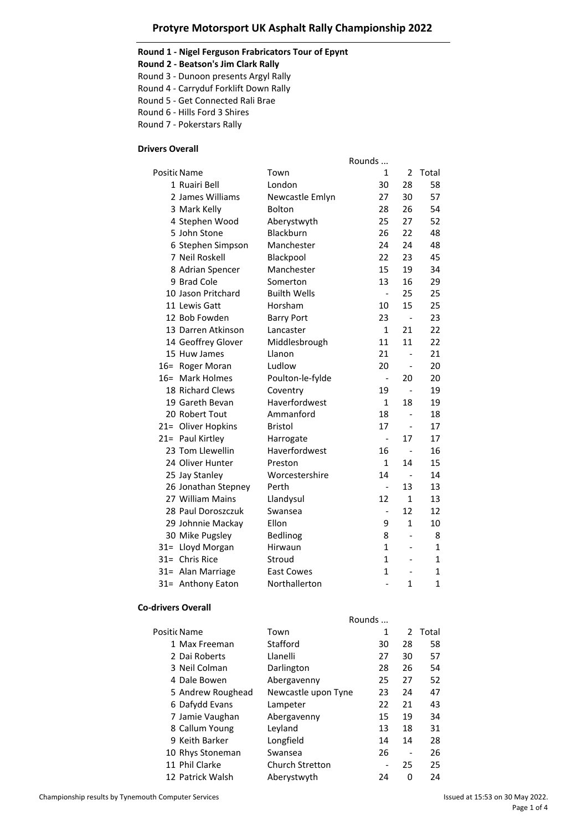### **Protyre Motorsport UK Asphalt Rally Championship 2022**

### **Round 1 - Nigel Ferguson Frabricators Tour of Epynt**

**Round 2 - Beatson's Jim Clark Rally**

Round 3 - Dunoon presents Argyl Rally

Round 4 - Carryduf Forklift Down Rally

Round 5 - Get Connected Rali Brae

Round 6 - Hills Ford 3 Shires

Round 7 - Pokerstars Rally

## **Drivers Overall**

|                     |                     | Rounds                   |                              |             |
|---------------------|---------------------|--------------------------|------------------------------|-------------|
| Positic Name        | Town                | 1                        | $\overline{2}$               | Total       |
| 1 Ruairi Bell       | London              | 30                       | 28                           | 58          |
| 2 James Williams    | Newcastle Emlyn     | 27                       | 30                           | 57          |
| 3 Mark Kelly        | <b>Bolton</b>       | 28                       | 26                           | 54          |
| 4 Stephen Wood      | Aberystwyth         | 25                       | 27                           | 52          |
| 5 John Stone        | <b>Blackburn</b>    | 26                       | 22                           | 48          |
| 6 Stephen Simpson   | Manchester          | 24                       | 24                           | 48          |
| 7 Neil Roskell      | Blackpool           | 22                       | 23                           | 45          |
| 8 Adrian Spencer    | Manchester          | 15                       | 19                           | 34          |
| 9 Brad Cole         | Somerton            | 13                       | 16                           | 29          |
| 10 Jason Pritchard  | <b>Builth Wells</b> | $\frac{1}{2}$            | 25                           | 25          |
| 11 Lewis Gatt       | Horsham             | 10                       | 15                           | 25          |
| 12 Bob Fowden       | <b>Barry Port</b>   | 23                       | $\overline{\phantom{a}}$     | 23          |
| 13 Darren Atkinson  | Lancaster           | $\mathbf{1}$             | 21                           | 22          |
| 14 Geoffrey Glover  | Middlesbrough       | 11                       | 11                           | 22          |
| 15 Huw James        | Llanon              | 21                       | $\overline{a}$               | 21          |
| 16= Roger Moran     | Ludlow              | 20                       | $\qquad \qquad \blacksquare$ | 20          |
| 16= Mark Holmes     | Poulton-le-fylde    | $\overline{a}$           | 20                           | 20          |
| 18 Richard Clews    | Coventry            | 19                       | $\overline{a}$               | 19          |
| 19 Gareth Bevan     | Haverfordwest       | $\mathbf{1}$             | 18                           | 19          |
| 20 Robert Tout      | Ammanford           | 18                       |                              | 18          |
| 21= Oliver Hopkins  | <b>Bristol</b>      | 17                       | $\overline{a}$               | 17          |
| 21= Paul Kirtley    | Harrogate           | $\overline{a}$           | 17                           | 17          |
| 23 Tom Llewellin    | Haverfordwest       | 16                       | $\overline{a}$               | 16          |
| 24 Oliver Hunter    | Preston             | $\mathbf{1}$             | 14                           | 15          |
| 25 Jay Stanley      | Worcestershire      | 14                       | $\overline{a}$               | 14          |
| 26 Jonathan Stepney | Perth               | $\overline{\phantom{m}}$ | 13                           | 13          |
| 27 William Mains    | Llandysul           | 12                       | 1                            | 13          |
| 28 Paul Doroszczuk  | Swansea             | $\overline{\phantom{0}}$ | 12                           | 12          |
| 29 Johnnie Mackay   | Ellon               | 9                        | $\mathbf{1}$                 | 10          |
| 30 Mike Pugsley     | Bedlinog            | 8                        | $\overline{a}$               | 8           |
| 31= Lloyd Morgan    | Hirwaun             | $\mathbf{1}$             | ÷                            | 1           |
| 31= Chris Rice      | Stroud              | $\mathbf{1}$             |                              | 1           |
| 31= Alan Marriage   | <b>East Cowes</b>   | $\mathbf{1}$             |                              | 1           |
| 31= Anthony Eaton   | Northallerton       |                          | 1                            | $\mathbf 1$ |

#### **Co-drivers Overall**

|                   | Rounds                 |    |               |       |
|-------------------|------------------------|----|---------------|-------|
| Positic Name      | Town                   | 1  | $\mathcal{P}$ | Total |
| 1 Max Freeman     | Stafford               | 30 | 28            | 58    |
| 2 Dai Roberts     | Llanelli               | 27 | 30            | 57    |
| 3 Neil Colman     | Darlington             | 28 | 26            | 54    |
| 4 Dale Bowen      | Abergavenny            | 25 | 27            | 52    |
| 5 Andrew Roughead | Newcastle upon Tyne    | 23 | 24            | 47    |
| 6 Dafydd Evans    | Lampeter               | 22 | 21            | 43    |
| 7 Jamie Vaughan   | Abergavenny            | 15 | 19            | 34    |
| 8 Callum Young    | Leyland                | 13 | 18            | 31    |
| 9 Keith Barker    | Longfield              | 14 | 14            | 28    |
| 10 Rhys Stoneman  | Swansea                | 26 |               | 26    |
| 11 Phil Clarke    | <b>Church Stretton</b> |    | 25            | 25    |
| 12 Patrick Walsh  | Aberystwyth            | 24 | O             | 24    |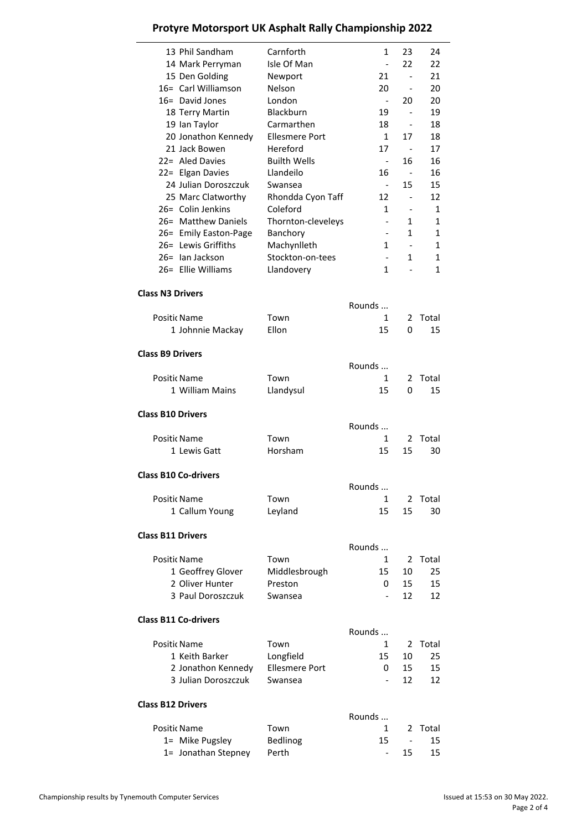| Protyre Motorsport UK Asphalt Rally Championship 2022 |  |  |  |  |  |
|-------------------------------------------------------|--|--|--|--|--|
|-------------------------------------------------------|--|--|--|--|--|

| 13 Phil Sandham                              | Carnforth             | $\mathbf{1}$                      | 23                            | 24     |
|----------------------------------------------|-----------------------|-----------------------------------|-------------------------------|--------|
| 14 Mark Perryman                             | Isle Of Man           | $\overline{\phantom{a}}$          | 22                            | 22     |
| 15 Den Golding                               | Newport               | 21                                | $\blacksquare$                | 21     |
| 16= Carl Williamson                          | Nelson                | 20                                | $\overline{\phantom{a}}$      | 20     |
| 16 = David Jones                             | London                | $\overline{\phantom{a}}$          | 20                            | 20     |
| 18 Terry Martin                              | <b>Blackburn</b>      | 19                                | $\overline{\phantom{a}}$      | 19     |
| 19 Ian Taylor                                | Carmarthen            | 18                                | $\overline{a}$                | 18     |
| 20 Jonathon Kennedy                          | Ellesmere Port        | $\mathbf{1}$                      | 17                            | 18     |
| 21 Jack Bowen                                | Hereford              | 17                                | $\overline{\phantom{a}}$      | 17     |
| 22= Aled Davies                              | <b>Builth Wells</b>   | $\overline{\phantom{a}}$          | 16                            | 16     |
| 22= Elgan Davies                             | Llandeilo             | 16                                | $\sim$                        | 16     |
| 24 Julian Doroszczuk                         | Swansea               | $\overline{\phantom{a}}$          | 15                            | 15     |
| 25 Marc Clatworthy                           | Rhondda Cyon Taff     | 12                                | $\overline{\phantom{a}}$      | 12     |
| 26= Colin Jenkins<br>26= Matthew Daniels     | Coleford              | 1                                 | $\overline{\phantom{a}}$      | 1      |
|                                              | Thornton-cleveleys    |                                   | 1<br>1                        | 1<br>1 |
| 26= Emily Easton-Page<br>26= Lewis Griffiths | Banchory              | 1                                 |                               |        |
| 26= Ian Jackson                              | Machynlleth           |                                   | $\overline{\phantom{a}}$<br>1 | 1<br>1 |
| 26= Ellie Williams                           | Stockton-on-tees      | $\qquad \qquad \blacksquare$<br>1 |                               | 1      |
|                                              | Llandovery            |                                   |                               |        |
| <b>Class N3 Drivers</b>                      |                       |                                   |                               |        |
|                                              |                       | Rounds                            |                               |        |
| Positic Name                                 | Town                  | 1                                 | 2                             | Total  |
| 1 Johnnie Mackay                             | Ellon                 | 15                                | 0                             | 15     |
| <b>Class B9 Drivers</b>                      |                       |                                   |                               |        |
|                                              |                       | Rounds                            |                               |        |
| Positic Name                                 | Town                  | 1                                 | 2                             | Total  |
| 1 William Mains                              | Llandysul             | 15                                | 0                             | 15     |
| <b>Class B10 Drivers</b>                     |                       |                                   |                               |        |
|                                              |                       | Rounds                            |                               |        |
| Positic Name                                 | Town                  | 1                                 | 2                             | Total  |
| 1 Lewis Gatt                                 | Horsham               | 15                                | 15                            | 30     |
| <b>Class B10 Co-drivers</b>                  |                       |                                   |                               |        |
|                                              |                       | Rounds                            |                               |        |
| Positic Name                                 | Town                  | 1                                 | 2                             | Total  |
| 1 Callum Young                               | Leyland               | 15                                | 15                            | 30     |
| <b>Class B11 Drivers</b>                     |                       |                                   |                               |        |
|                                              |                       | Rounds                            |                               |        |
| Positic Name                                 | Town                  | 1                                 | 2                             | Total  |
| 1 Geoffrey Glover                            | Middlesbrough         | 15                                | 10                            | 25     |
| 2 Oliver Hunter                              | Preston               | 0                                 | 15                            | 15     |
| 3 Paul Doroszczuk                            | Swansea               |                                   | 12                            | 12     |
| <b>Class B11 Co-drivers</b>                  |                       |                                   |                               |        |
|                                              |                       | Rounds                            |                               |        |
| Positic Name                                 | Town                  | 1                                 | 2                             | Total  |
| 1 Keith Barker                               | Longfield             | 15                                | 10                            | 25     |
| 2 Jonathon Kennedy                           | <b>Ellesmere Port</b> | 0                                 | 15                            | 15     |
| 3 Julian Doroszczuk                          | Swansea               |                                   | 12                            | 12     |
| <b>Class B12 Drivers</b>                     |                       |                                   |                               |        |
|                                              |                       | Rounds                            |                               |        |
| Positic Name                                 | Town                  | 1                                 | 2                             | Total  |
| 1= Mike Pugsley                              | Bedlinog              | 15                                |                               | 15     |
| 1= Jonathan Stepney                          | Perth                 |                                   | 15                            | 15     |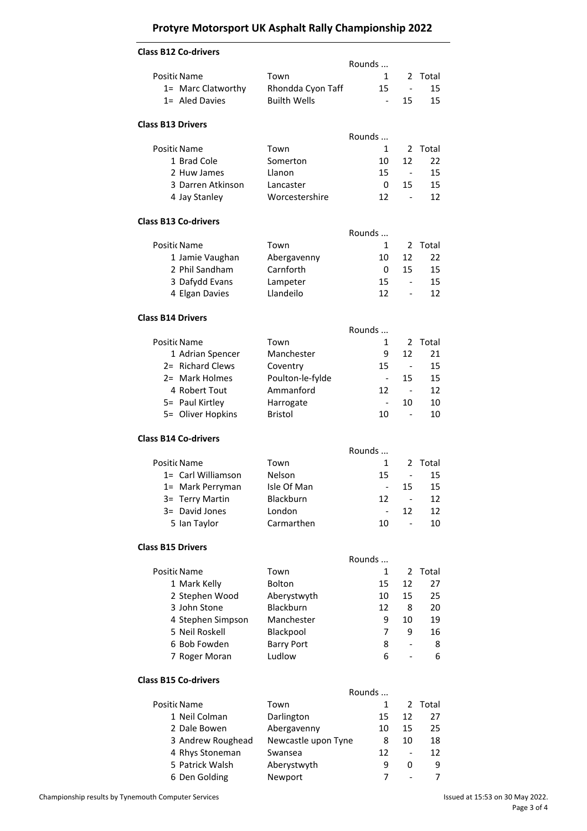# **Protyre Motorsport UK Asphalt Rally Championship 2022**

| <b>Class B12 Co-drivers</b>          |                                          | Rounds                   |                              |       |
|--------------------------------------|------------------------------------------|--------------------------|------------------------------|-------|
|                                      | Town                                     | 1                        | 2                            | Total |
| Positic Name                         |                                          | 15                       | $\blacksquare$               | 15    |
| 1= Marc Clatworthy<br>1= Aled Davies | Rhondda Cyon Taff<br><b>Builth Wells</b> | $\overline{\phantom{a}}$ |                              | 15    |
|                                      |                                          |                          | 15                           |       |
| <b>Class B13 Drivers</b>             |                                          | Rounds                   |                              |       |
| Positic Name                         | Town                                     | 1                        | 2                            | Total |
| 1 Brad Cole                          | Somerton                                 | 10                       | 12                           | 22    |
| 2 Huw James                          | Llanon                                   | 15                       | $\overline{\phantom{a}}$     | 15    |
| 3 Darren Atkinson                    | Lancaster                                | 0                        | 15                           | 15    |
| 4 Jay Stanley                        | Worcestershire                           | 12                       | $\overline{a}$               | 12    |
| <b>Class B13 Co-drivers</b>          |                                          |                          |                              |       |
|                                      |                                          | Rounds                   |                              |       |
| Positic Name                         | Town                                     | 1                        | 2                            | Total |
| 1 Jamie Vaughan                      | Abergavenny                              | 10                       | 12                           | 22    |
| 2 Phil Sandham                       | Carnforth                                | 0                        | 15                           | 15    |
| 3 Dafydd Evans                       | Lampeter                                 | 15                       |                              | 15    |
| 4 Elgan Davies                       | Llandeilo                                | 12                       | $\qquad \qquad \blacksquare$ | 12    |
| <b>Class B14 Drivers</b>             |                                          |                          |                              |       |
|                                      |                                          | Rounds                   |                              |       |
| Positic Name                         | Town                                     | 1                        | 2                            | Total |
| 1 Adrian Spencer                     | Manchester                               | 9                        | 12                           | 21    |
| 2= Richard Clews                     | Coventry                                 | 15                       | $\sim$                       | 15    |
| 2= Mark Holmes                       | Poulton-le-fylde                         | $\blacksquare$           | 15                           | 15    |
| 4 Robert Tout                        | Ammanford                                | 12                       | $\sim$                       | 12    |
| 5= Paul Kirtley                      | Harrogate                                | $\overline{\phantom{a}}$ | 10                           | 10    |
| 5= Oliver Hopkins                    | <b>Bristol</b>                           | 10                       | $\overline{\phantom{a}}$     | 10    |
|                                      |                                          |                          |                              |       |
| <b>Class B14 Co-drivers</b>          |                                          | Rounds                   |                              |       |
| Positic Name                         | Town                                     | 1                        | 2                            | Total |
| 1= Carl Williamson                   | Nelson                                   | 15                       | $\blacksquare$               | 15    |
| 1= Mark Perryman                     | Isle Of Man                              |                          | 15                           | 15    |
|                                      |                                          | $\overline{\phantom{0}}$ |                              |       |
| 3= Terry Martin                      | Blackburn                                | 12                       | $\qquad \qquad \blacksquare$ | 12    |
| 3= David Jones                       | London                                   |                          | 12                           | 12    |
| 5 Ian Taylor                         | Carmarthen                               | 10                       |                              | 10    |
| <b>Class B15 Drivers</b>             |                                          |                          |                              |       |
|                                      |                                          | Rounds                   |                              |       |
| Positic Name                         | Town                                     | $\mathbf{1}$             | 2                            | Total |
| 1 Mark Kelly                         | Bolton                                   | 15                       | 12                           | 27    |
| 2 Stephen Wood                       | Aberystwyth                              | 10                       | 15                           | 25    |
| 3 John Stone                         | Blackburn                                | 12                       | 8                            | 20    |
| 4 Stephen Simpson                    | Manchester                               | 9                        | 10                           | 19    |
| 5 Neil Roskell                       | Blackpool                                | 7                        | 9                            | 16    |
| 6 Bob Fowden                         | <b>Barry Port</b>                        | 8                        | $\qquad \qquad \blacksquare$ | 8     |
| 7 Roger Moran                        | Ludlow                                   | 6                        |                              | 6     |
| <b>Class B15 Co-drivers</b>          |                                          |                          |                              |       |
|                                      |                                          | Rounds                   |                              |       |
| Positic Name                         | Town                                     | 1                        | $\overline{2}$               | Total |
| 1 Neil Colman                        | Darlington                               | 15                       | 12                           | 27    |
| 2 Dale Bowen                         | Abergavenny                              | 10                       | 15                           | 25    |
| 3 Andrew Roughead                    | Newcastle upon Tyne                      | 8                        | 10                           | 18    |
| 4 Rhys Stoneman                      | Swansea                                  | 12                       |                              | 12    |
| 5 Patrick Walsh                      | Aberystwyth                              | 9                        | 0                            | 9     |
| 6 Den Golding                        | Newport                                  | 7                        |                              | 7     |